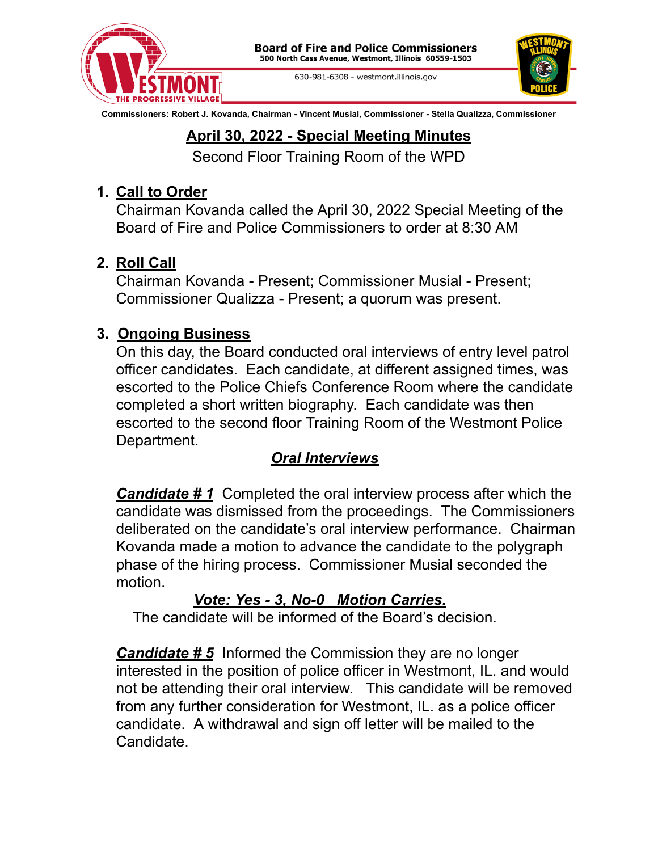

630-981-6308 - westmont.illinois.gov



**Commissioners: Robert J. Kovanda, Chairman - Vincent Musial, Commissioner - Stella Qualizza, Commissioner**

## **April 30, 2022 - Special Meeting Minutes**

Second Floor Training Room of the WPD

## **1. Call to Order**

Chairman Kovanda called the April 30, 2022 Special Meeting of the Board of Fire and Police Commissioners to order at 8:30 AM

# **2. Roll Call**

Chairman Kovanda - Present; Commissioner Musial - Present; Commissioner Qualizza - Present; a quorum was present.

## **3. Ongoing Business**

On this day, the Board conducted oral interviews of entry level patrol officer candidates. Each candidate, at different assigned times, was escorted to the Police Chiefs Conference Room where the candidate completed a short written biography. Each candidate was then escorted to the second floor Training Room of the Westmont Police Department.

## *Oral Interviews*

*Candidate # 1* Completed the oral interview process after which the candidate was dismissed from the proceedings. The Commissioners deliberated on the candidate's oral interview performance. Chairman Kovanda made a motion to advance the candidate to the polygraph phase of the hiring process. Commissioner Musial seconded the motion.

## *Vote: Yes - 3, No-0 Motion Carries.*

The candidate will be informed of the Board's decision.

*Candidate # 5* Informed the Commission they are no longer interested in the position of police officer in Westmont, IL. and would not be attending their oral interview. This candidate will be removed from any further consideration for Westmont, IL. as a police officer candidate. A withdrawal and sign off letter will be mailed to the Candidate.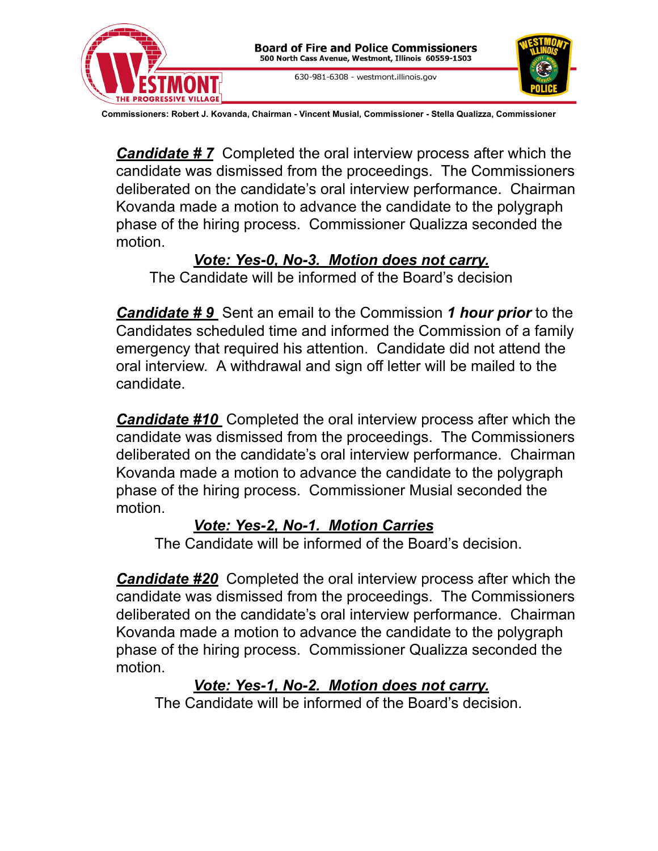

**Commissioners: Robert J. Kovanda, Chairman - Vincent Musial, Commissioner - Stella Qualizza, Commissioner**

*Candidate # 7* Completed the oral interview process after which the candidate was dismissed from the proceedings. The Commissioners deliberated on the candidate's oral interview performance. Chairman Kovanda made a motion to advance the candidate to the polygraph phase of the hiring process. Commissioner Qualizza seconded the motion.

#### *Vote: Yes-0, No-3. Motion does not carry.*

The Candidate will be informed of the Board's decision

*Candidate # 9* Sent an email to the Commission *1 hour prior* to the Candidates scheduled time and informed the Commission of a family emergency that required his attention. Candidate did not attend the oral interview. A withdrawal and sign off letter will be mailed to the candidate.

*Candidate #10* Completed the oral interview process after which the candidate was dismissed from the proceedings. The Commissioners deliberated on the candidate's oral interview performance. Chairman Kovanda made a motion to advance the candidate to the polygraph phase of the hiring process. Commissioner Musial seconded the motion.

### *Vote: Yes-2, No-1. Motion Carries*

The Candidate will be informed of the Board's decision.

*Candidate #20* Completed the oral interview process after which the candidate was dismissed from the proceedings. The Commissioners deliberated on the candidate's oral interview performance. Chairman Kovanda made a motion to advance the candidate to the polygraph phase of the hiring process. Commissioner Qualizza seconded the motion.

### *Vote: Yes-1, No-2. Motion does not carry.*

The Candidate will be informed of the Board's decision.